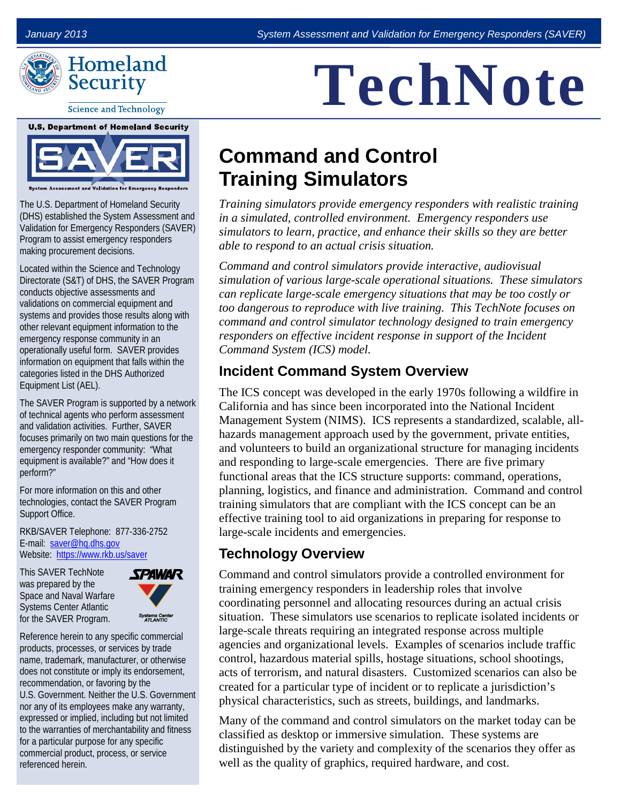

**Science and Technology** 

**U.S. Department of Homeland Security** 



The U.S. Department of Homeland Security (DHS) established the System Assessment and Validation for Emergency Responders (SAVER) Program to assist emergency responders making procurement decisions.

 Directorate (S&T) of DHS, the SAVER Program Equipment List (AEL). Located within the Science and Technology conducts objective assessments and validations on commercial equipment and systems and provides those results along with other relevant equipment information to the emergency response community in an operationally useful form. SAVER provides information on equipment that falls within the categories listed in the DHS Authorized

 of technical agents who perform assessment The SAVER Program is supported by a network. and validation activities. Further, SAVER focuses primarily on two main questions for the emergency responder community: "What equipment is available?" and "How does it perform?"

For more information on this and other technologies, contact the SAVER Program Support Office.

E-mail: saver@hq.dhs.gov Website: https://www.rkb.us/saver RKB/SAVER Telephone: 877-336-2752

This SAVER TechNote was prepared by the Space and Naval Warfare Systems Center Atlantic for the SAVER Program.



Reference herein to any specific commercial products, processes, or services by trade name, trademark, manufacturer, or otherwise does not constitute or imply its endorsement, recommendation, or favoring by the U.S. Government. Neither the U.S. Government nor any of its employees make any warranty, expressed or implied, including but not limited to the warranties of merchantability and fitness for a particular purpose for any specific commercial product, process, or service referenced herein.

# **TechNote**

# **Command and Control Training Simulators**

*Training simulators provide emergency responders with realistic training in a simulated, controlled environment. Emergency responders use simulators to learn, practice, and enhance their skills so they are better able to respond to an actual crisis situation.* 

 *Command System (ICS) model. Command and control simulators provide interactive, audiovisual simulation of various large-scale operational situations. These simulators can replicate large-scale emergency situations that may be too costly or too dangerous to reproduce with live training. This TechNote focuses on command and control simulator technology designed to train emergency responders on effective incident response in support of the Incident* 

# **Incident Command System Overview**

 The ICS concept was developed in the early 1970s following a wildfire in California and has since been incorporated into the National Incident Management System (NIMS). ICS represents a standardized, scalable, all- functional areas that the ICS structure supports: command, operations, planning, logistics, and finance and administration. Command and control hazards management approach used by the government, private entities, and volunteers to build an organizational structure for managing incidents and responding to large-scale emergencies. There are five primary training simulators that are compliant with the ICS concept can be an effective training tool to aid organizations in preparing for response to large-scale incidents and emergencies.

# **Technology Overview**

 training emergency responders in leadership roles that involve situation. These simulators use scenarios to replicate isolated incidents or Command and control simulators provide a controlled environment for coordinating personnel and allocating resources during an actual crisis large-scale threats requiring an integrated response across multiple agencies and organizational levels. Examples of scenarios include traffic control, hazardous material spills, hostage situations, school shootings, acts of terrorism, and natural disasters. Customized scenarios can also be created for a particular type of incident or to replicate a jurisdiction's physical characteristics, such as streets, buildings, and landmarks.

Many of the command and control simulators on the market today can be classified as desktop or immersive simulation. These systems are distinguished by the variety and complexity of the scenarios they offer as well as the quality of graphics, required hardware, and cost.